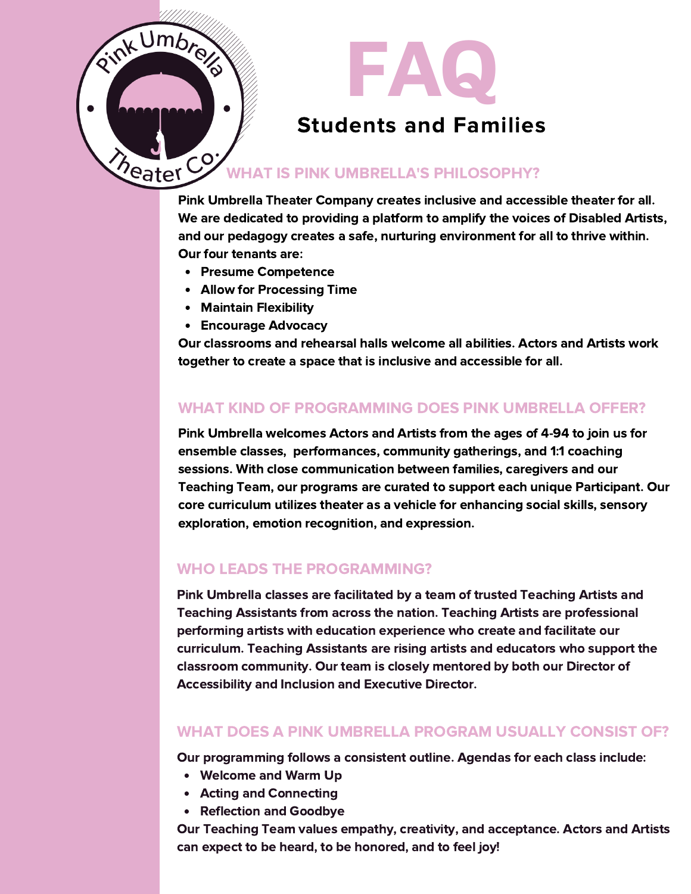

Pink Umbrella Theater Company creates inclusive and accessible theater for all. We are dedicated to providing a platform to amplify the voices of Disabled Artists, and our pedagogy creates a safe, nurturing environment for all to thrive within. Our four tenants are:

- Presume Competence
- Allow for Processing Time
- Maintain Flexibility
- Encourage Advocacy

Our classrooms and rehearsal halls welcome all abilities. Actors and Artists work together to create a space that is inclusive and accessible for all.

#### WHAT KIND OF PROGRAMMING DOES PINK UMBRELLA OFFER?

Pink Umbrella welcomes Actors and Artists from the ages of 4-94 to join us for ensemble classes, performances, community gatherings, and 1:1 coaching sessions. With close communication between families, caregivers and our Teaching Team, our programs are curated to support each unique Participant. Our core curriculum utilizes theater as a vehicle for enhancing social skills, sensory exploration, emotion recognition, and expression.

#### WHO LEADS THE PROGRAMMING?

Pink Umbrella classes are facilitated by a team of trusted Teaching Artists and Teaching Assistants from across the nation. Teaching Artists are professional performing artists with education experience who create and facilitate our curriculum. Teaching Assistants are rising artists and educators who support the classroom community. Our team is closely mentored by both our Director of Accessibility and Inclusion and Executive Director.

## WHAT DOES A PINK UMBRELLA PROGRAM USUALLY CONSIST OF?

Our programming follows a consistent outline. Agendas for each class include:

- Welcome and Warm Up
- Acting and Connecting
- Reflection and Goodbye

Our Teaching Team values empathy, creativity, and acceptance. Actors and Artists can expect to be heard, to be honored, and to feel joy!